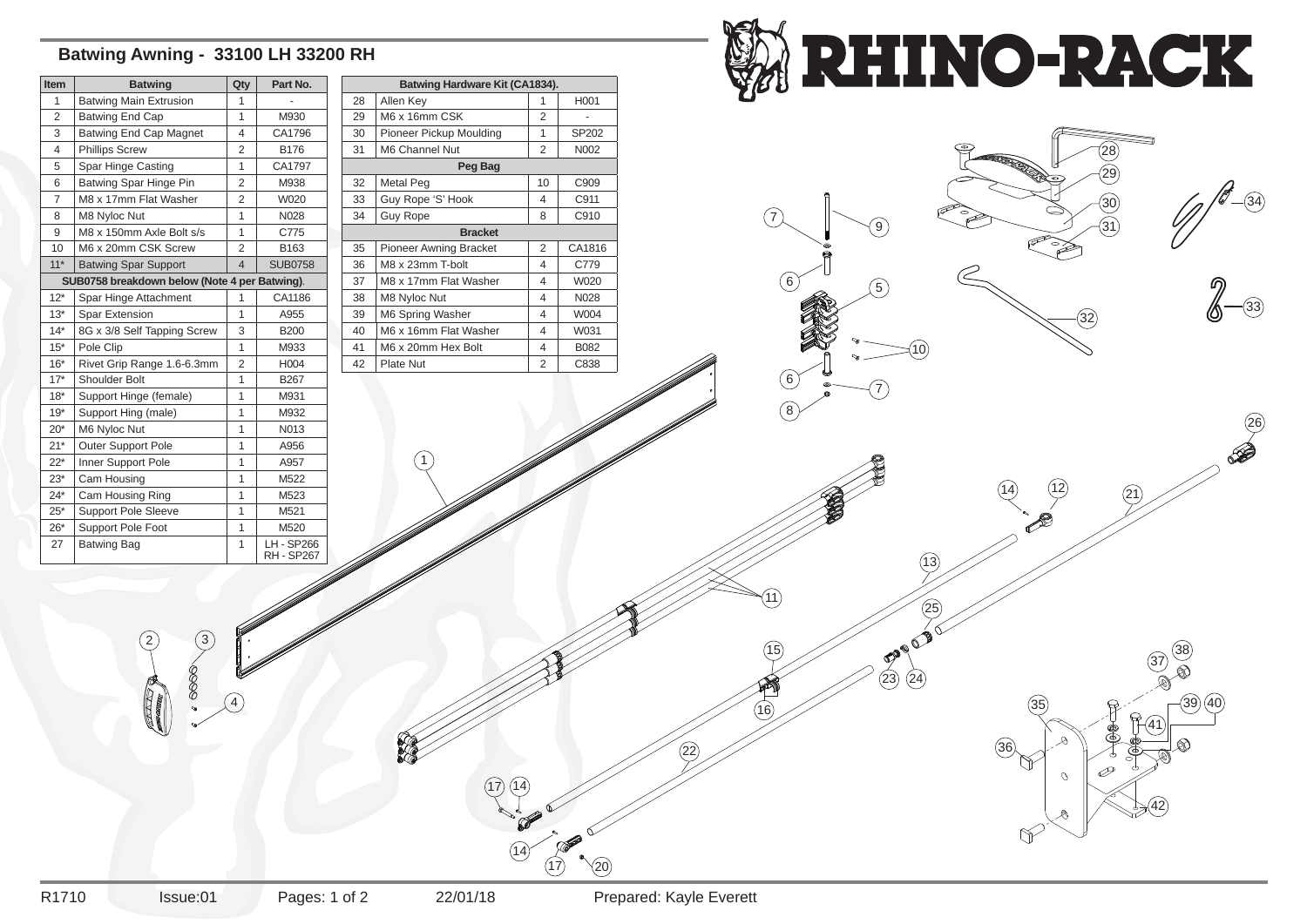## **Batwing Awning - 33100 LH 33200 RH**

3

7)  $\sqrt{20}$ 

 $\widehat{17}$ 

2

3) (24





| <b>Item</b>                                   | <b>Batwing</b>                | Qty            | Part No.                           |  |  |
|-----------------------------------------------|-------------------------------|----------------|------------------------------------|--|--|
| 1                                             | <b>Batwing Main Extrusion</b> | 1              |                                    |  |  |
| $\overline{2}$                                | Batwing End Cap               | 1              | M930                               |  |  |
| 3                                             | <b>Batwing End Cap Magnet</b> | 4              | CA1796                             |  |  |
| 4                                             | <b>Phillips Screw</b>         | 2              | B176                               |  |  |
| 5                                             | Spar Hinge Casting            | 1              | CA1797                             |  |  |
| 6                                             | Batwing Spar Hinge Pin        | $\overline{2}$ | M938                               |  |  |
| $\overline{7}$                                | M8 x 17mm Flat Washer         | $\overline{2}$ | W020                               |  |  |
| 8                                             | M8 Nyloc Nut                  | 1              | N028                               |  |  |
| 9                                             | M8 x 150mm Axle Bolt s/s      | $\overline{1}$ | C775                               |  |  |
| 10                                            | M6 x 20mm CSK Screw           | $\overline{2}$ | B163                               |  |  |
| $11*$                                         | <b>Batwing Spar Support</b>   | 4              | <b>SUB0758</b>                     |  |  |
| SUB0758 breakdown below (Note 4 per Batwing). |                               |                |                                    |  |  |
| $12*$                                         | Spar Hinge Attachment         | 1              | CA1186                             |  |  |
| $13*$                                         | <b>Spar Extension</b>         | 1              | A955                               |  |  |
| $14*$                                         | 8G x 3/8 Self Tapping Screw   | 3              | <b>B200</b>                        |  |  |
| $15*$                                         | Pole Clip                     | 1              | M933                               |  |  |
| $16*$                                         | Rivet Grip Range 1.6-6.3mm    | 2              | H004                               |  |  |
| $17*$                                         | <b>Shoulder Bolt</b>          | 1              | B267                               |  |  |
| $18*$                                         | Support Hinge (female)        | $\overline{1}$ | M931                               |  |  |
| $19*$                                         | Support Hing (male)           | $\overline{1}$ | M932                               |  |  |
| $20*$                                         | M6 Nyloc Nut                  | $\overline{1}$ | N013                               |  |  |
| $21*$                                         | Outer Support Pole            | $\overline{1}$ | A956                               |  |  |
| $22*$                                         | Inner Support Pole            | 1              | A957                               |  |  |
| $23*$                                         | Cam Housing                   | $\overline{1}$ | M522                               |  |  |
| $24*$                                         | Cam Housing Ring              | $\overline{1}$ | M523                               |  |  |
| $25*$                                         | Support Pole Sleeve           | $\overline{1}$ | M521                               |  |  |
| $26*$                                         | <b>Support Pole Foot</b>      | 1              | M520                               |  |  |
| 27                                            | <b>Batwing Bag</b>            | 1              | <b>LH-SP266</b><br><b>RH-SP267</b> |  |  |

| <b>Batwing Hardware Kit (CA1834).</b> |                               |                |                  |  |
|---------------------------------------|-------------------------------|----------------|------------------|--|
| 28                                    | Allen Key                     | 1              | H <sub>001</sub> |  |
| 29                                    | M6 x 16mm CSK                 | $\overline{2}$ |                  |  |
| 30                                    | Pioneer Pickup Moulding       | 1              | SP202            |  |
| 31                                    | M6 Channel Nut                | 2              | N002             |  |
| Peg Bag                               |                               |                |                  |  |
| 32                                    | Metal Peg                     | 10             | C <sub>909</sub> |  |
| 33                                    | Guy Rope 'S' Hook             | 4              | C911             |  |
| 34                                    | <b>Guy Rope</b>               | 8              | C910             |  |
| <b>Bracket</b>                        |                               |                |                  |  |
| 35                                    | <b>Pioneer Awning Bracket</b> | $\mathcal{P}$  | CA1816           |  |
| 36                                    | M8 x 23mm T-bolt              | 4              | C779             |  |
| 37                                    | M8 x 17mm Flat Washer         | 4              | W020             |  |
| 38                                    | M8 Nyloc Nut                  | 4              | N028             |  |
| 39                                    | M6 Spring Washer              | 4              | W004             |  |
| 40                                    | M6 x 16mm Flat Washer         | 4              | W031             |  |
| 41                                    | M6 x 20mm Hex Bolt            | 4              | B082             |  |
| 42                                    | <b>Plate Nut</b>              | $\overline{2}$ | C838             |  |
|                                       |                               |                |                  |  |